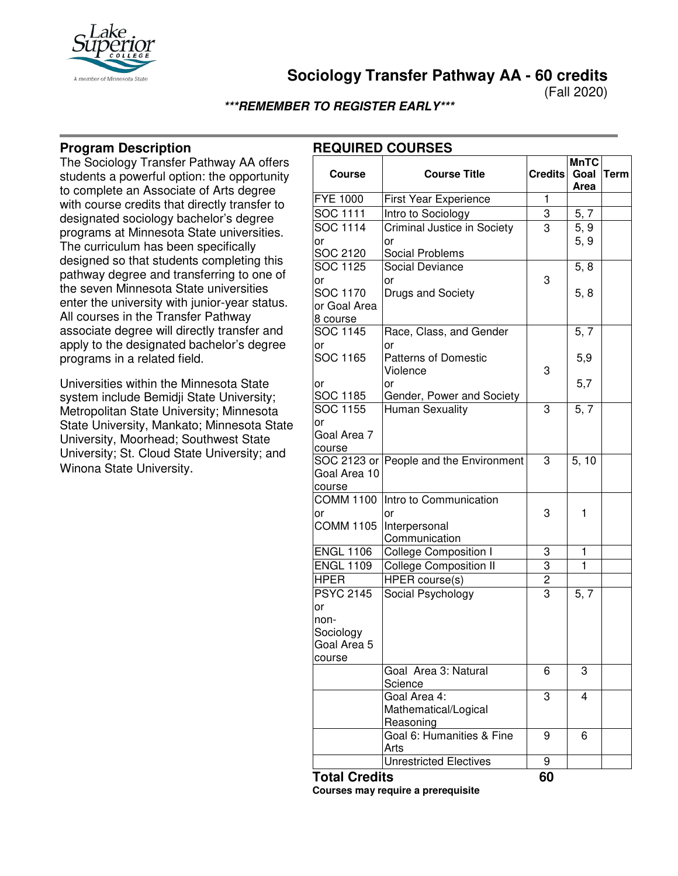

**Sociology Transfer Pathway AA - 60 credits**

(Fall 2020)

## **\*\*\*REMEMBER TO REGISTER EARLY\*\*\***

# **Program Description**

The Sociology Transfer Pathway AA offers students a powerful option: the opportunity to complete an Associate of Arts degree with course credits that directly transfer to designated sociology bachelor's degree programs at Minnesota State universities. The curriculum has been specifically designed so that students completing this pathway degree and transferring to one of the seven Minnesota State universities enter the university with junior-year status. All courses in the Transfer Pathway associate degree will directly transfer and apply to the designated bachelor's degree programs in a related field.

Universities within the Minnesota State system include Bemidji State University; Metropolitan State University; Minnesota State University, Mankato; Minnesota State University, Moorhead; Southwest State University; St. Cloud State University; and Winona State University.

# **REQUIRED COURSES**

| <b>Course</b>               | <b>Course Title</b>                          | <b>Credits</b> | <b>MnTC</b><br>Goal | <b>Term</b> |
|-----------------------------|----------------------------------------------|----------------|---------------------|-------------|
|                             |                                              |                | Area                |             |
| <b>FYE 1000</b>             | First Year Experience                        | 1              |                     |             |
| <b>SOC 1111</b>             | Intro to Sociology                           | 3              | 5, 7                |             |
| SOC 1114                    | Criminal Justice in Society                  | 3              | 5, 9                |             |
| or                          | or                                           |                | 5, 9                |             |
| SOC 2120                    | Social Problems                              |                |                     |             |
| SOC 1125                    | <b>Social Deviance</b>                       |                | 5, 8                |             |
| or                          | or                                           | 3              |                     |             |
| SOC 1170                    | Drugs and Society                            |                | 5, 8                |             |
| or Goal Area                |                                              |                |                     |             |
| 8 course                    |                                              |                |                     |             |
| SOC 1145                    | Race, Class, and Gender                      |                | 5, 7                |             |
| or                          | or                                           |                |                     |             |
| SOC 1165                    | <b>Patterns of Domestic</b>                  |                | 5,9                 |             |
|                             | Violence                                     | 3              |                     |             |
| lor                         | or                                           |                | 5,7                 |             |
| SOC 1185<br><b>SOC 1155</b> | Gender, Power and Society<br>Human Sexuality | 3              | 5, 7                |             |
|                             |                                              |                |                     |             |
| or<br>Goal Area 7           |                                              |                |                     |             |
| course                      |                                              |                |                     |             |
|                             | SOC 2123 or People and the Environment       | 3              | 5, 10               |             |
| Goal Area 10                |                                              |                |                     |             |
| course                      |                                              |                |                     |             |
| <b>COMM 1100</b>            | Intro to Communication                       |                |                     |             |
| or                          | or                                           | 3              | 1                   |             |
| <b>COMM 1105</b>            | Interpersonal                                |                |                     |             |
|                             | Communication                                |                |                     |             |
| <b>ENGL 1106</b>            | <b>College Composition I</b>                 | 3              | 1                   |             |
| <b>ENGL 1109</b>            | <b>College Composition II</b>                | 3              | 1                   |             |
| <b>HPER</b>                 | <b>HPER</b> course(s)                        | $\overline{c}$ |                     |             |
| <b>PSYC 2145</b>            | Social Psychology                            | $\overline{3}$ | 5, 7                |             |
| or                          |                                              |                |                     |             |
| non-                        |                                              |                |                     |             |
| Sociology                   |                                              |                |                     |             |
| Goal Area 5                 |                                              |                |                     |             |
| course                      |                                              |                |                     |             |
|                             | Goal Area 3: Natural                         | 6              | 3                   |             |
|                             | Science                                      |                |                     |             |
|                             | Goal Area 4:                                 | 3              | 4                   |             |
|                             | Mathematical/Logical                         |                |                     |             |
|                             | Reasoning<br>Goal 6: Humanities & Fine       | 9              | 6                   |             |
|                             | Arts                                         |                |                     |             |
|                             | <b>Unrestricted Electives</b>                | 9              |                     |             |
|                             |                                              |                |                     |             |

**Total Credits 60 Courses may require a prerequisite**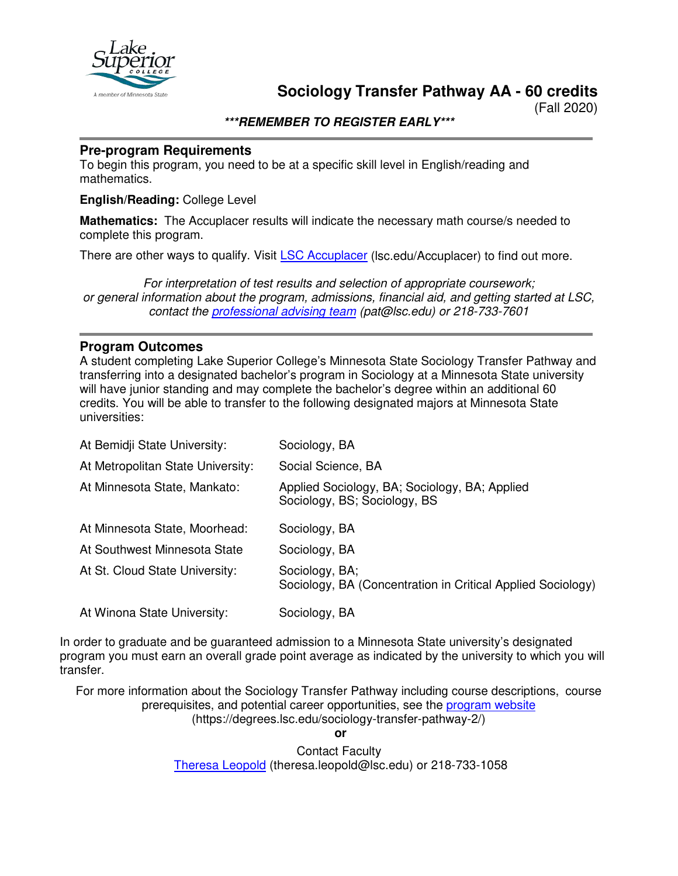

**Sociology Transfer Pathway AA - 60 credits**

(Fall 2020)

**\*\*\*REMEMBER TO REGISTER EARLY\*\*\***

## **Pre-program Requirements**

To begin this program, you need to be at a specific skill level in English/reading and mathematics.

#### **English/Reading:** College Level

**Mathematics:** The Accuplacer results will indicate the necessary math course/s needed to complete this program.

There are other ways to qualify. Visit [LSC Accuplacer](https://www.lsc.edu/accuplacer/) (Isc.edu/Accuplacer) to find out more.

*For interpretation of test results and selection of appropriate coursework; or general information about the program, admissions, financial aid, and getting started at LSC, contact the [professional advising team](mailto:pat@lsc.edu) (pat@lsc.edu) or 218-733-7601*

## **Program Outcomes**

A student completing Lake Superior College's Minnesota State Sociology Transfer Pathway and transferring into a designated bachelor's program in Sociology at a Minnesota State university will have junior standing and may complete the bachelor's degree within an additional 60 credits. You will be able to transfer to the following designated majors at Minnesota State universities:

| At Bemidji State University:      | Sociology, BA                                                                 |
|-----------------------------------|-------------------------------------------------------------------------------|
| At Metropolitan State University: | Social Science, BA                                                            |
| At Minnesota State, Mankato:      | Applied Sociology, BA; Sociology, BA; Applied<br>Sociology, BS; Sociology, BS |
| At Minnesota State, Moorhead:     | Sociology, BA                                                                 |
| At Southwest Minnesota State      | Sociology, BA                                                                 |
| At St. Cloud State University:    | Sociology, BA;<br>Sociology, BA (Concentration in Critical Applied Sociology) |
| At Winona State University:       | Sociology, BA                                                                 |

In order to graduate and be guaranteed admission to a Minnesota State university's designated program you must earn an overall grade point average as indicated by the university to which you will transfer.

For more information about the Sociology Transfer Pathway including course descriptions, course prerequisites, and potential career opportunities, see the [program website](https://degrees.lsc.edu/sociology-transfer-pathway-2/) (https://degrees.lsc.edu/sociology-transfer-pathway-2/)

**or**

Contact Faculty [Theresa Leopold](mailto:theresa.leopold@lsc.edu) (theresa.leopold@lsc.edu) or 218-733-1058